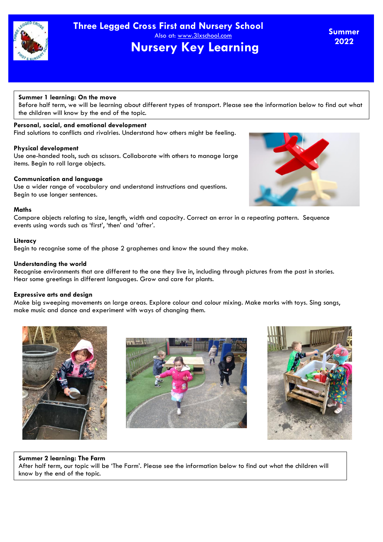

# **Summer 1 learning: On the move**

Before half term, we will be learning about different types of transport. Please see the information below to find out what the children will know by the end of the topic.

# **Personal, social, and emotional development**

Find solutions to conflicts and rivalries. Understand how others might be feeling.

### **Physical development**

Use one-handed tools, such as scissors. Collaborate with others to manage large items. Begin to roll large objects.

### **Communication and language**

Use a wider range of vocabulary and understand instructions and questions. Begin to use longer sentences.

### **Maths**

Compare objects relating to size, length, width and capacity. Correct an error in a repeating pattern. Sequence events using words such as 'first', 'then' and 'after'.

### **Literacy**

Begin to recognise some of the phase 2 graphemes and know the sound they make.

## **Understanding the world**

Recognise environments that are different to the one they live in, including through pictures from the past in stories. Hear some greetings in different languages. Grow and care for plants.

# **Expressive arts and design**

Make big sweeping movements on large areas. Explore colour and colour mixing. Make marks with toys. Sing songs, make music and dance and experiment with ways of changing them.







# **Summer 2 learning: The Farm**

After half term, our topic will be 'The Farm'. Please see the information below to find out what the children will know by the end of the topic.